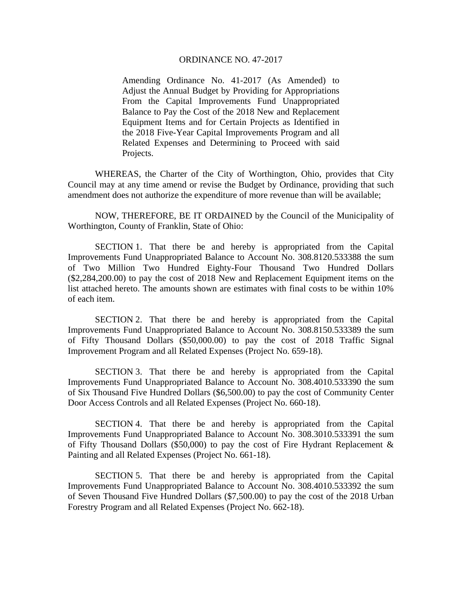## ORDINANCE NO. 47-2017

Amending Ordinance No. 41-2017 (As Amended) to Adjust the Annual Budget by Providing for Appropriations From the Capital Improvements Fund Unappropriated Balance to Pay the Cost of the 2018 New and Replacement Equipment Items and for Certain Projects as Identified in the 2018 Five-Year Capital Improvements Program and all Related Expenses and Determining to Proceed with said Projects.

 WHEREAS, the Charter of the City of Worthington, Ohio, provides that City Council may at any time amend or revise the Budget by Ordinance, providing that such amendment does not authorize the expenditure of more revenue than will be available;

 NOW, THEREFORE, BE IT ORDAINED by the Council of the Municipality of Worthington, County of Franklin, State of Ohio:

 SECTION 1. That there be and hereby is appropriated from the Capital Improvements Fund Unappropriated Balance to Account No. 308.8120.533388 the sum of Two Million Two Hundred Eighty-Four Thousand Two Hundred Dollars (\$2,284,200.00) to pay the cost of 2018 New and Replacement Equipment items on the list attached hereto. The amounts shown are estimates with final costs to be within 10% of each item.

 SECTION 2. That there be and hereby is appropriated from the Capital Improvements Fund Unappropriated Balance to Account No. 308.8150.533389 the sum of Fifty Thousand Dollars (\$50,000.00) to pay the cost of 2018 Traffic Signal Improvement Program and all Related Expenses (Project No. 659-18).

 SECTION 3. That there be and hereby is appropriated from the Capital Improvements Fund Unappropriated Balance to Account No. 308.4010.533390 the sum of Six Thousand Five Hundred Dollars (\$6,500.00) to pay the cost of Community Center Door Access Controls and all Related Expenses (Project No. 660-18).

 SECTION 4. That there be and hereby is appropriated from the Capital Improvements Fund Unappropriated Balance to Account No. 308.3010.533391 the sum of Fifty Thousand Dollars (\$50,000) to pay the cost of Fire Hydrant Replacement  $\&$ Painting and all Related Expenses (Project No. 661-18).

 SECTION 5. That there be and hereby is appropriated from the Capital Improvements Fund Unappropriated Balance to Account No. 308.4010.533392 the sum of Seven Thousand Five Hundred Dollars (\$7,500.00) to pay the cost of the 2018 Urban Forestry Program and all Related Expenses (Project No. 662-18).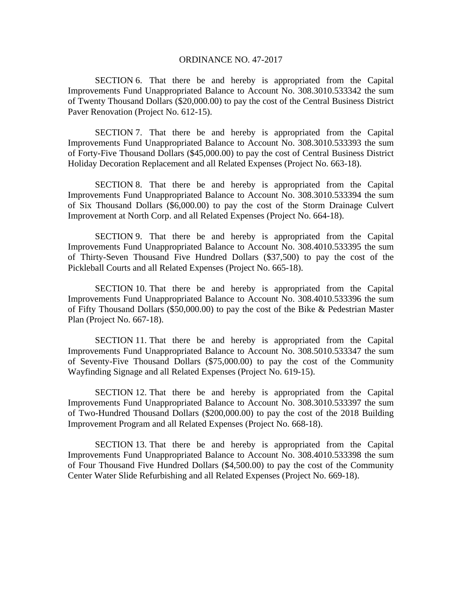## ORDINANCE NO. 47-2017

SECTION 6. That there be and hereby is appropriated from the Capital Improvements Fund Unappropriated Balance to Account No. 308.3010.533342 the sum of Twenty Thousand Dollars (\$20,000.00) to pay the cost of the Central Business District Paver Renovation (Project No. 612-15).

SECTION 7. That there be and hereby is appropriated from the Capital Improvements Fund Unappropriated Balance to Account No. 308.3010.533393 the sum of Forty-Five Thousand Dollars (\$45,000.00) to pay the cost of Central Business District Holiday Decoration Replacement and all Related Expenses (Project No. 663-18).

SECTION 8. That there be and hereby is appropriated from the Capital Improvements Fund Unappropriated Balance to Account No. 308.3010.533394 the sum of Six Thousand Dollars (\$6,000.00) to pay the cost of the Storm Drainage Culvert Improvement at North Corp. and all Related Expenses (Project No. 664-18).

SECTION 9. That there be and hereby is appropriated from the Capital Improvements Fund Unappropriated Balance to Account No. 308.4010.533395 the sum of Thirty-Seven Thousand Five Hundred Dollars (\$37,500) to pay the cost of the Pickleball Courts and all Related Expenses (Project No. 665-18).

SECTION 10. That there be and hereby is appropriated from the Capital Improvements Fund Unappropriated Balance to Account No. 308.4010.533396 the sum of Fifty Thousand Dollars (\$50,000.00) to pay the cost of the Bike & Pedestrian Master Plan (Project No. 667-18).

SECTION 11. That there be and hereby is appropriated from the Capital Improvements Fund Unappropriated Balance to Account No. 308.5010.533347 the sum of Seventy-Five Thousand Dollars (\$75,000.00) to pay the cost of the Community Wayfinding Signage and all Related Expenses (Project No. 619-15).

SECTION 12. That there be and hereby is appropriated from the Capital Improvements Fund Unappropriated Balance to Account No. 308.3010.533397 the sum of Two-Hundred Thousand Dollars (\$200,000.00) to pay the cost of the 2018 Building Improvement Program and all Related Expenses (Project No. 668-18).

SECTION 13. That there be and hereby is appropriated from the Capital Improvements Fund Unappropriated Balance to Account No. 308.4010.533398 the sum of Four Thousand Five Hundred Dollars (\$4,500.00) to pay the cost of the Community Center Water Slide Refurbishing and all Related Expenses (Project No. 669-18).